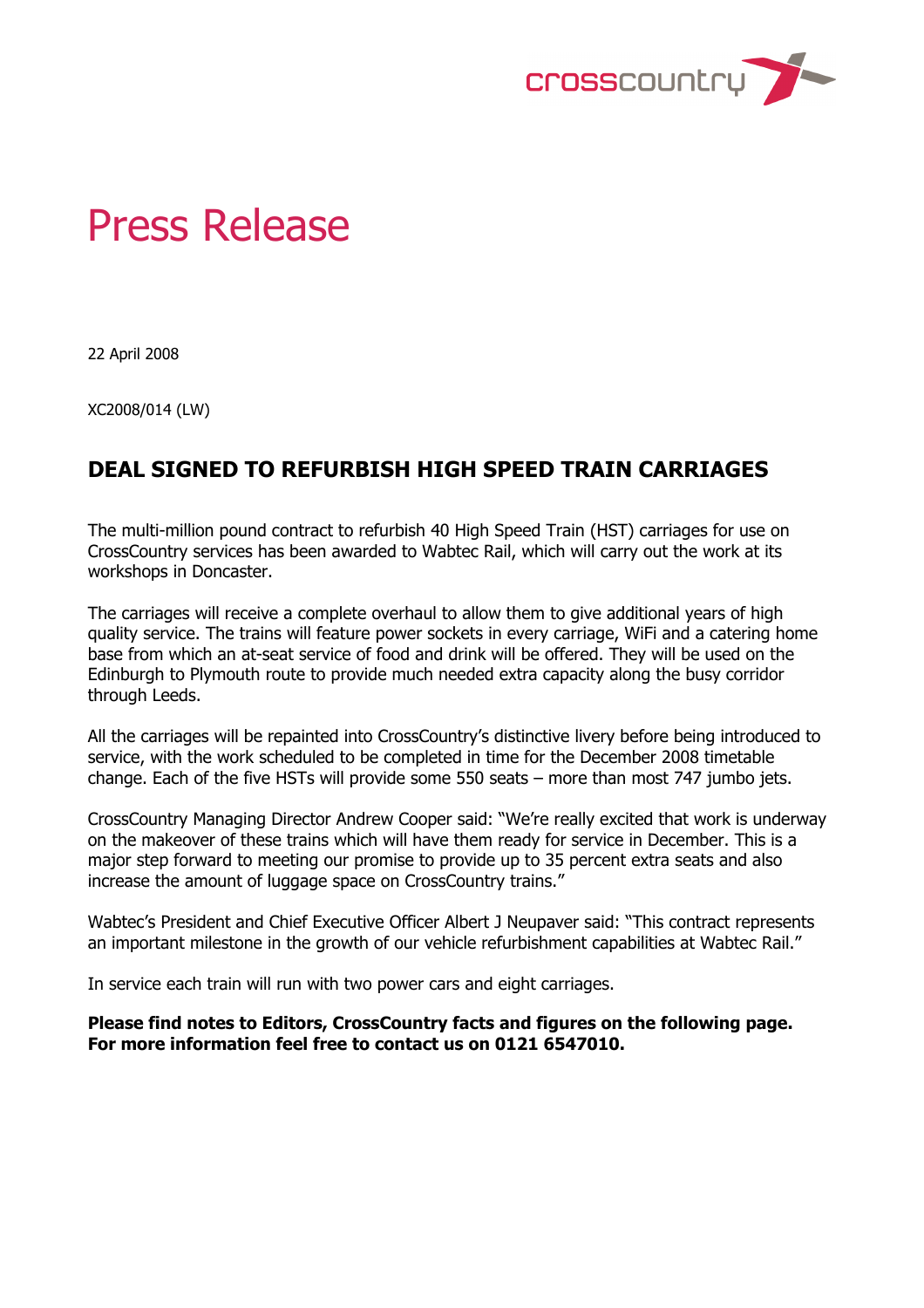

## Press Release

22 April 2008

XC2008/014 (LW)

## **DEAL SIGNED TO REFURBISH HIGH SPEED TRAIN CARRIAGES**

The multi-million pound contract to refurbish 40 High Speed Train (HST) carriages for use on CrossCountry services has been awarded to Wabtec Rail, which will carry out the work at its workshops in Doncaster.

The carriages will receive a complete overhaul to allow them to give additional years of high quality service. The trains will feature power sockets in every carriage, WiFi and a catering home base from which an at-seat service of food and drink will be offered. They will be used on the Edinburgh to Plymouth route to provide much needed extra capacity along the busy corridor through Leeds.

All the carriages will be repainted into CrossCountry's distinctive livery before being introduced to service, with the work scheduled to be completed in time for the December 2008 timetable change. Each of the five HSTs will provide some 550 seats – more than most 747 jumbo jets.

CrossCountry Managing Director Andrew Cooper said: "We're really excited that work is underway on the makeover of these trains which will have them ready for service in December. This is a major step forward to meeting our promise to provide up to 35 percent extra seats and also increase the amount of luggage space on CrossCountry trains."

Wabtec's President and Chief Executive Officer Albert J Neupaver said: "This contract represents an important milestone in the growth of our vehicle refurbishment capabilities at Wabtec Rail."

In service each train will run with two power cars and eight carriages.

**Please find notes to Editors, CrossCountry facts and figures on the following page. For more information feel free to contact us on 0121 6547010.**